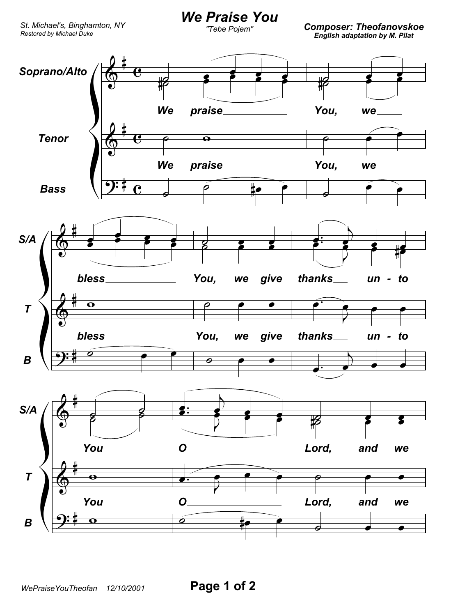